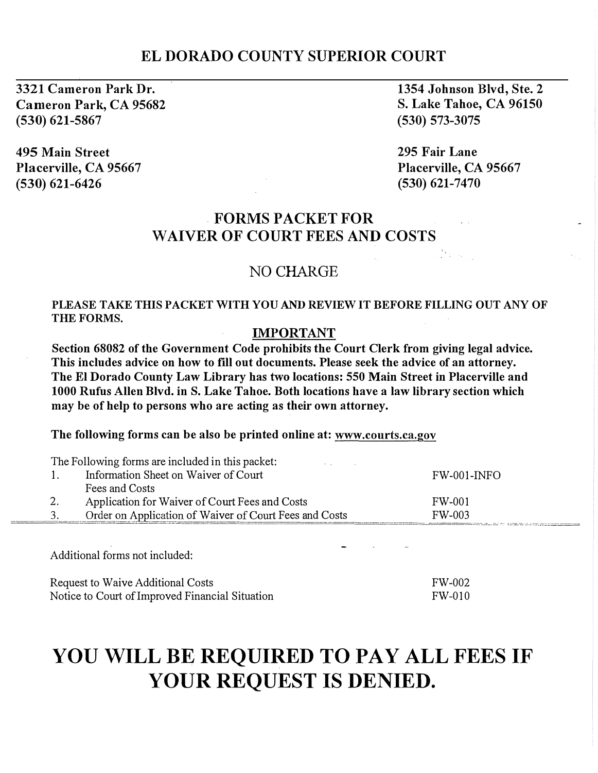# ELDORADO COUNTY SUPERIOR COURT

3321 Cameron Park Dr. Cameron Park, CA 95682 (530) 621-5867

495 Main Street Placerville, CA 95667 (530) 621-6426

1354 Johnson Blvd, Ste. 2 S. Lake Tahoe, CA 96150 (530) 573-3075

295 Fair Lane Placerville, CA 95667  $(530)$  621-7470

.<br>1. december - La Cityannes estern

# FORMS PACKET FOR WAIVER OF COURT FEES AND COSTS

## NO CHARGE

#### PLEASE TAKE THIS PACKET WITH YOU AND REVIEW IT BEFORE FILLING OUT ANY OF THE FORMS.

#### IMPORTANT

Section 68082 of the Government Code prohibits the Court Clerk from giving legal advice. This includes advice on how to fill out documents. Please seek the advice of an attorney. The El Dorado County Law Library has two locations: 550 Main Street in Placerville and 1000 Rufus Allen Blvd. in S. Lake Tahoe. Both locations have a law library section which may be of help to persons who are acting as their own attorney.

The following forms can be also be printed online at: www.courts.ca.gov

|    | The Following forms are included in this packet:       |                |
|----|--------------------------------------------------------|----------------|
| 1. | Information Sheet on Waiver of Court                   | $FW-001$ -INFO |
|    | Fees and Costs                                         |                |
| 2. | Application for Waiver of Court Fees and Costs         | FW-001         |
| 3. | Order on Application of Waiver of Court Fees and Costs | FW-003         |

Additional forms not included:

| Request to Waive Additional Costs               | FW-002 |
|-------------------------------------------------|--------|
| Notice to Court of Improved Financial Situation | FW-010 |

# YOU WILL BE REQUIRED TO PAY ALL FEES IF YOUR REQUEST IS DENIED.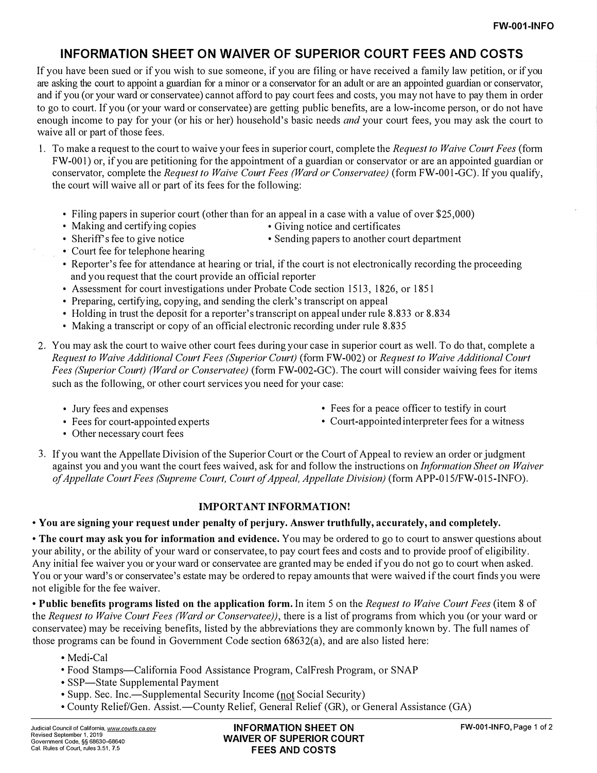## INFORMATION SHEET ON WAIVER OF SUPERIOR COURT FEES AND COSTS

If you have been sued or if you wish to sue someone, if you are filing or have received a family law petition, or if you are asking the court to appoint a guardian for a minor or a conservator for an adult or are an appointed guardian or conservator, and if you (or your ward or conservatee) cannot afford to pay court fees and costs, you may not have to pay them in order to go to court. If you (or your ward or conservatee) are getting public benefits, are a low-income person, or do not have enough income to pay for your (or his or her) household's basic needs *and* your court fees, you may ask the court to waive all or part of those fees.

- 1. To make a request to the court to waive your fees in superior court, complete the Request to Waive Court Fees (form FW-001) or, if you are petitioning for the appointment of a guardian or conservator or are an appointed guardian or conservator, complete the Request to Waive Court Fees (Ward or Conservatee) (form FW-001-GC). If you qualify, the court will waive all or part of its fees for the following:
	- Filing papers in superior court (other than for an appeal in a case with a value of over \$25,000)
	-
	- Making and certifying copies Giving notice and certificates
	- Sheriff's fee to give notice Sending papers to another court department
	- Court fee for telephone hearing
	- Reporter's fee for attendance at hearing or trial, if the court is not electronically recording the proceeding and you request that the court provide an official reporter
	- Assessment for court investigations under Probate Code section 1513, 1826, or 1851
	- Preparing, certifying, copying, and sending the clerk's transcript on appeal
	- Holding in trust the deposit for a reporter's transcript on appeal under rule 8.833 or 8.834
	- Making a transcript or copy of an official electronic recording under rule 8.835
- 2. You may ask the court to waive other court fees during your case in superior coutt as well. To do that, complete a Request to Waive Additional Court Fees (Superior Court) (form FW-002) or Request to Waive Additional Court Fees (Superior Court) (Ward or Conservatee) (form FW-002-GC). The court will consider waiving fees for items such as the following, or other court services you need for your case:
	-
	-
	- Jury fees and expenses Fees for a peace officer to testify in court
	- Fees for court-appointed experts Court-appointed interpreter fees for a witness
	- Other necessary court fees
- 3. If you want the Appellate Division of the Superior Court or the Court of Appeal to review an order or judgment against you and you want the court fees waived, ask for and follow the instructions on Information Sheet on Waiver of Appellate Court Fees (Supreme Court, Court of Appeal, Appellate Division) (form APP-015/FW-015-INFO).

#### IMPORTANT INFORMATION!

• You are signing your request under penalty of perjury. Answer truthfully, accurately, and completely.

• The court may ask you for information and evidence. You may be ordered to go to court to answer questions about your ability, or the ability of your ward or conservatee, to pay court fees and costs and to provide proof of eligibility. Any initial fee waiver you or your ward or conservatee are granted may be ended if you do not go to coutt when asked. You or your ward's or conservatee's estate may be ordered to repay amounts that were waived if the court finds you were not eligible for the fee waiver.

• Public benefits programs listed on the application form. In item 5 on the Request to Waive Court Fees (item 8 of the Request to Waive Court Fees (Ward or Conservatee)), there is a list of programs from which you (or your ward or conservatee) may be receiving benefits, listed by the abbreviations they are commonly known by. The full names of those programs can be found in Government Code section 68632(a), and are also listed here:

- Medi-Cal
- Food Stamps-California Food Assistance Program, CalFresh Program, or SNAP
- SSP-State Supplemental Payment
- Supp. Sec. Inc.—Supplemental Security Income (not Social Security)
- County Relief/Gen. Assist. -County Relief, General Relief (GR), or General Assistance (GA)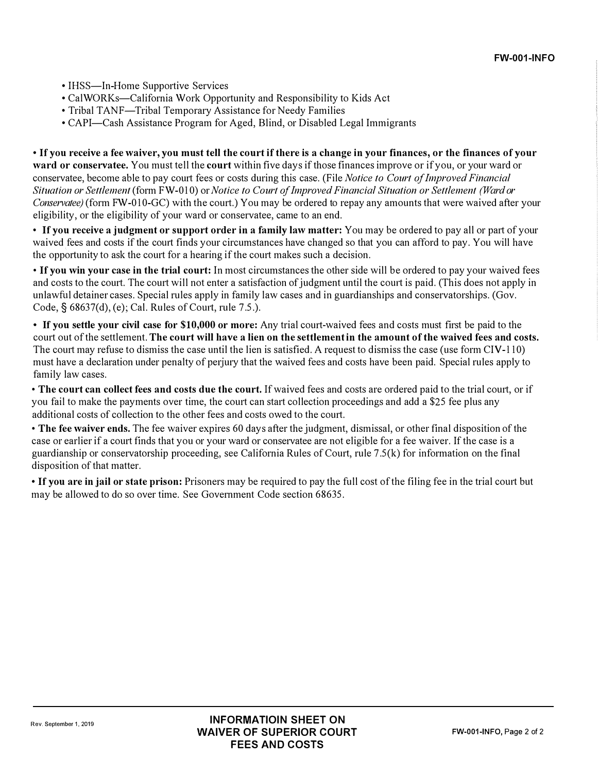- IHSS—In-Home Supportive Services
- CalWORKs—California Work Opportunity and Responsibility to Kids Act
- Tribal TANF-Tribal Temporary Assistance for Needy Families
- CAPI-Cash Assistance Program for Aged, Blind, or Disabled Legal Immigrants

• If you receive a fee waiver, you must tell the court if there is a change in your finances, or the finances of your ward or conservatee. You must tell the court within five days if those finances improve or if you, or your ward or conservatee, become able to pay court fees or costs during this case. (File Notice to Court of Improved Financial Situation or Settlement (form FW-010) or Notice to Court of Improved Financial Situation or Settlement (Ward or Conservatee) (form FW-010-GC) with the court.) You may be ordered to repay any amounts that were waived after your eligibility, or the eligibility of your ward or conservatee, came to an end.

• If you receive a judgment or support order in a family law matter: You may be ordered to pay all or part of your waived fees and costs if the court finds your circumstances have changed so that you can afford to pay. You will have the oppotiunity to ask the court for a hearing if the court makes such a decision.

• If you win your case in the trial court: In most circumstances the other side will be ordered to pay your waived fees and costs to the court. The court will not enter a satisfaction of judgment until the court is paid. (This does not apply in unlawful detainer cases. Special rules apply in family law cases and in guardianships and conservatorships. (Gov. Code,  $\S$  68637(d), (e); Cal. Rules of Court, rule 7.5.).

• If you settle your civil case for \$10,000 or more: Any trial court-waived fees and costs must first be paid to the court out of the settlement. The court will have a lien on the settlement in the amount of the waived fees and costs. The court may refuse to dismiss the case until the lien is satisfied. A request to dismiss the case (use form  $\text{CIV-110}$ ) must have a declaration under penalty of perjury that the waived fees and costs have been paid. Special rules apply to family law cases.

• The court can collect fees and costs due the court. If waived fees and costs are ordered paid to the trial court, or if you fail to make the payments over time, the court can start collection proceedings and add a \$25 fee plus any additional costs of collection to the other fees and costs owed to the court.

• The fee waiver ends. The fee waiver expires 60 days after the judgment, dismissal, or other final disposition of the case or earlier if a court finds that you or your ward or conservatee are not eligible for a fee waiver. If the case is a guardianship or conservatorship proceeding, see California Rules of Court, rule 7 .5(k) for information on the final disposition of that matter.

• If you are in jail or state prison: Prisoners may be required to pay the full cost of the filing fee in the trial court but may be allowed to do so over time. See Government Code section 68635.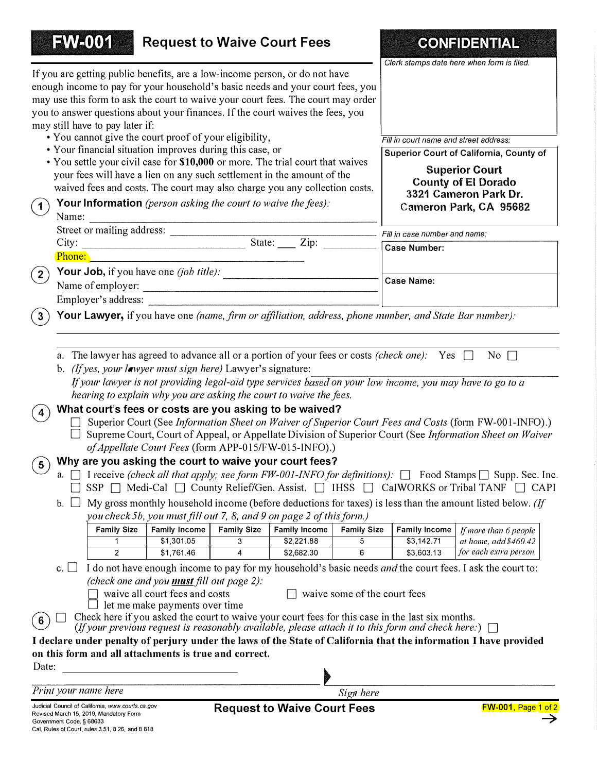| <b>FW-001</b><br><b>Request to Waive Court Fees</b><br><b>CONFIDENTIAL</b><br>Clerk stamps date here when form is filed.<br>If you are getting public benefits, are a low-income person, or do not have<br>enough income to pay for your household's basic needs and your court fees, you<br>may use this form to ask the court to waive your court fees. The court may order<br>you to answer questions about your finances. If the court waives the fees, you<br>may still have to pay later if:<br>• You cannot give the court proof of your eligibility,<br>Fill in court name and street address:<br>• Your financial situation improves during this case, or<br>Superior Court of California, County of<br>• You settle your civil case for \$10,000 or more. The trial court that waives<br><b>Superior Court</b><br>your fees will have a lien on any such settlement in the amount of the<br><b>County of El Dorado</b><br>waived fees and costs. The court may also charge you any collection costs.<br>3321 Cameron Park Dr.<br>Your Information (person asking the court to waive the fees):<br>(1)<br>Cameron Park, CA 95682<br>Name:<br>Fill in case number and name:<br>Case Number:<br>$\mathbf{2}$<br><b>Case Name:</b><br>Employer's address:<br>Your Lawyer, if you have one (name, firm or affiliation, address, phone number, and State Bar number):<br>$3^{\circ}$<br>a. The lawyer has agreed to advance all or a portion of your fees or costs <i>(check one)</i> : Yes $\Box$<br>No $\Box$<br>b. (If yes, your lawyer must sign here) Lawyer's signature:<br>If your lawyer is not providing legal-aid type services based on your low income, you may have to go to a<br>hearing to explain why you are asking the court to waive the fees.<br>What court's fees or costs are you asking to be waived?<br>$\overline{\mathbf{4}}$<br>□ Superior Court (See <i>Information Sheet on Waiver of Superior Court Fees and Costs</i> (form FW-001-INFO).)<br>$\Box$ Supreme Court, Court of Appeal, or Appellate Division of Superior Court (See Information Sheet on Waiver<br>of Appellate Court Fees (form APP-015/FW-015-INFO).)<br>Why are you asking the court to waive your court fees?<br>$\left( 5\right)$<br>a. $\Box$ I receive (check all that apply; see form FW-001-INFO for definitions): $\Box$ Food Stamps $\Box$ Supp. Sec. Inc.<br>SSP □ Medi-Cal □ County Relief/Gen. Assist. □ IHSS □ CalWORKS or Tribal TANF □ CAPI<br>b. $\Box$ My gross monthly household income (before deductions for taxes) is less than the amount listed below. (If<br>you check 5b, you must fill out 7, 8, and 9 on page 2 of this form.)<br>Family Income<br><b>Family Income</b><br><b>Family Size</b><br><b>Family Size</b><br><b>Family Size</b><br><b>Family Income</b><br>If more than 6 people<br>3<br>$\mathbf{1}$<br>5<br>at home, add $$460.42$<br>\$1,301.05<br>\$2,221.88<br>\$3,142.71<br>for each extra person.<br>\$3,603.13<br>2<br>\$1,761.46<br>\$2,682.30<br>6<br>4<br>I do not have enough income to pay for my household's basic needs and the court fees. I ask the court to:<br>$\mathbf{c}$ .<br>(check one and you <b>must</b> fill out page $2$ ):<br>waive some of the court fees<br>waive all court fees and costs<br>let me make payments over time<br>Check here if you asked the court to waive your court fees for this case in the last six months.<br>$6^{\circ}$<br>(If your previous request is reasonably available, please attach it to this form and check here:) $\Box$<br>I declare under penalty of perjury under the laws of the State of California that the information I have provided<br>on this form and all attachments is true and correct.<br>Date:<br>Print your name here |           |  |
|---------------------------------------------------------------------------------------------------------------------------------------------------------------------------------------------------------------------------------------------------------------------------------------------------------------------------------------------------------------------------------------------------------------------------------------------------------------------------------------------------------------------------------------------------------------------------------------------------------------------------------------------------------------------------------------------------------------------------------------------------------------------------------------------------------------------------------------------------------------------------------------------------------------------------------------------------------------------------------------------------------------------------------------------------------------------------------------------------------------------------------------------------------------------------------------------------------------------------------------------------------------------------------------------------------------------------------------------------------------------------------------------------------------------------------------------------------------------------------------------------------------------------------------------------------------------------------------------------------------------------------------------------------------------------------------------------------------------------------------------------------------------------------------------------------------------------------------------------------------------------------------------------------------------------------------------------------------------------------------------------------------------------------------------------------------------------------------------------------------------------------------------------------------------------------------------------------------------------------------------------------------------------------------------------------------------------------------------------------------------------------------------------------------------------------------------------------------------------------------------------------------------------------------------------------------------------------------------------------------------------------------------------------------------------------------------------------------------------------------------------------------------------------------------------------------------------------------------------------------------------------------------------------------------------------------------------------------------------------------------------------------------------------------------------------------------------------------------------------------------------------------------------------------------------------------------------------------------------------------------------------------------------------------------------------------------------------------------------------------------------------------------------------------------------------------------------------------------------------------------------------------------------------------------------------------------------------------------------------------------------------------------------------------------------------------------------------------------------------------------------|-----------|--|
|                                                                                                                                                                                                                                                                                                                                                                                                                                                                                                                                                                                                                                                                                                                                                                                                                                                                                                                                                                                                                                                                                                                                                                                                                                                                                                                                                                                                                                                                                                                                                                                                                                                                                                                                                                                                                                                                                                                                                                                                                                                                                                                                                                                                                                                                                                                                                                                                                                                                                                                                                                                                                                                                                                                                                                                                                                                                                                                                                                                                                                                                                                                                                                                                                                                                                                                                                                                                                                                                                                                                                                                                                                                                                                                                                   |           |  |
|                                                                                                                                                                                                                                                                                                                                                                                                                                                                                                                                                                                                                                                                                                                                                                                                                                                                                                                                                                                                                                                                                                                                                                                                                                                                                                                                                                                                                                                                                                                                                                                                                                                                                                                                                                                                                                                                                                                                                                                                                                                                                                                                                                                                                                                                                                                                                                                                                                                                                                                                                                                                                                                                                                                                                                                                                                                                                                                                                                                                                                                                                                                                                                                                                                                                                                                                                                                                                                                                                                                                                                                                                                                                                                                                                   |           |  |
|                                                                                                                                                                                                                                                                                                                                                                                                                                                                                                                                                                                                                                                                                                                                                                                                                                                                                                                                                                                                                                                                                                                                                                                                                                                                                                                                                                                                                                                                                                                                                                                                                                                                                                                                                                                                                                                                                                                                                                                                                                                                                                                                                                                                                                                                                                                                                                                                                                                                                                                                                                                                                                                                                                                                                                                                                                                                                                                                                                                                                                                                                                                                                                                                                                                                                                                                                                                                                                                                                                                                                                                                                                                                                                                                                   |           |  |
|                                                                                                                                                                                                                                                                                                                                                                                                                                                                                                                                                                                                                                                                                                                                                                                                                                                                                                                                                                                                                                                                                                                                                                                                                                                                                                                                                                                                                                                                                                                                                                                                                                                                                                                                                                                                                                                                                                                                                                                                                                                                                                                                                                                                                                                                                                                                                                                                                                                                                                                                                                                                                                                                                                                                                                                                                                                                                                                                                                                                                                                                                                                                                                                                                                                                                                                                                                                                                                                                                                                                                                                                                                                                                                                                                   |           |  |
|                                                                                                                                                                                                                                                                                                                                                                                                                                                                                                                                                                                                                                                                                                                                                                                                                                                                                                                                                                                                                                                                                                                                                                                                                                                                                                                                                                                                                                                                                                                                                                                                                                                                                                                                                                                                                                                                                                                                                                                                                                                                                                                                                                                                                                                                                                                                                                                                                                                                                                                                                                                                                                                                                                                                                                                                                                                                                                                                                                                                                                                                                                                                                                                                                                                                                                                                                                                                                                                                                                                                                                                                                                                                                                                                                   |           |  |
|                                                                                                                                                                                                                                                                                                                                                                                                                                                                                                                                                                                                                                                                                                                                                                                                                                                                                                                                                                                                                                                                                                                                                                                                                                                                                                                                                                                                                                                                                                                                                                                                                                                                                                                                                                                                                                                                                                                                                                                                                                                                                                                                                                                                                                                                                                                                                                                                                                                                                                                                                                                                                                                                                                                                                                                                                                                                                                                                                                                                                                                                                                                                                                                                                                                                                                                                                                                                                                                                                                                                                                                                                                                                                                                                                   |           |  |
|                                                                                                                                                                                                                                                                                                                                                                                                                                                                                                                                                                                                                                                                                                                                                                                                                                                                                                                                                                                                                                                                                                                                                                                                                                                                                                                                                                                                                                                                                                                                                                                                                                                                                                                                                                                                                                                                                                                                                                                                                                                                                                                                                                                                                                                                                                                                                                                                                                                                                                                                                                                                                                                                                                                                                                                                                                                                                                                                                                                                                                                                                                                                                                                                                                                                                                                                                                                                                                                                                                                                                                                                                                                                                                                                                   |           |  |
|                                                                                                                                                                                                                                                                                                                                                                                                                                                                                                                                                                                                                                                                                                                                                                                                                                                                                                                                                                                                                                                                                                                                                                                                                                                                                                                                                                                                                                                                                                                                                                                                                                                                                                                                                                                                                                                                                                                                                                                                                                                                                                                                                                                                                                                                                                                                                                                                                                                                                                                                                                                                                                                                                                                                                                                                                                                                                                                                                                                                                                                                                                                                                                                                                                                                                                                                                                                                                                                                                                                                                                                                                                                                                                                                                   |           |  |
|                                                                                                                                                                                                                                                                                                                                                                                                                                                                                                                                                                                                                                                                                                                                                                                                                                                                                                                                                                                                                                                                                                                                                                                                                                                                                                                                                                                                                                                                                                                                                                                                                                                                                                                                                                                                                                                                                                                                                                                                                                                                                                                                                                                                                                                                                                                                                                                                                                                                                                                                                                                                                                                                                                                                                                                                                                                                                                                                                                                                                                                                                                                                                                                                                                                                                                                                                                                                                                                                                                                                                                                                                                                                                                                                                   |           |  |
|                                                                                                                                                                                                                                                                                                                                                                                                                                                                                                                                                                                                                                                                                                                                                                                                                                                                                                                                                                                                                                                                                                                                                                                                                                                                                                                                                                                                                                                                                                                                                                                                                                                                                                                                                                                                                                                                                                                                                                                                                                                                                                                                                                                                                                                                                                                                                                                                                                                                                                                                                                                                                                                                                                                                                                                                                                                                                                                                                                                                                                                                                                                                                                                                                                                                                                                                                                                                                                                                                                                                                                                                                                                                                                                                                   |           |  |
|                                                                                                                                                                                                                                                                                                                                                                                                                                                                                                                                                                                                                                                                                                                                                                                                                                                                                                                                                                                                                                                                                                                                                                                                                                                                                                                                                                                                                                                                                                                                                                                                                                                                                                                                                                                                                                                                                                                                                                                                                                                                                                                                                                                                                                                                                                                                                                                                                                                                                                                                                                                                                                                                                                                                                                                                                                                                                                                                                                                                                                                                                                                                                                                                                                                                                                                                                                                                                                                                                                                                                                                                                                                                                                                                                   |           |  |
|                                                                                                                                                                                                                                                                                                                                                                                                                                                                                                                                                                                                                                                                                                                                                                                                                                                                                                                                                                                                                                                                                                                                                                                                                                                                                                                                                                                                                                                                                                                                                                                                                                                                                                                                                                                                                                                                                                                                                                                                                                                                                                                                                                                                                                                                                                                                                                                                                                                                                                                                                                                                                                                                                                                                                                                                                                                                                                                                                                                                                                                                                                                                                                                                                                                                                                                                                                                                                                                                                                                                                                                                                                                                                                                                                   |           |  |
|                                                                                                                                                                                                                                                                                                                                                                                                                                                                                                                                                                                                                                                                                                                                                                                                                                                                                                                                                                                                                                                                                                                                                                                                                                                                                                                                                                                                                                                                                                                                                                                                                                                                                                                                                                                                                                                                                                                                                                                                                                                                                                                                                                                                                                                                                                                                                                                                                                                                                                                                                                                                                                                                                                                                                                                                                                                                                                                                                                                                                                                                                                                                                                                                                                                                                                                                                                                                                                                                                                                                                                                                                                                                                                                                                   |           |  |
|                                                                                                                                                                                                                                                                                                                                                                                                                                                                                                                                                                                                                                                                                                                                                                                                                                                                                                                                                                                                                                                                                                                                                                                                                                                                                                                                                                                                                                                                                                                                                                                                                                                                                                                                                                                                                                                                                                                                                                                                                                                                                                                                                                                                                                                                                                                                                                                                                                                                                                                                                                                                                                                                                                                                                                                                                                                                                                                                                                                                                                                                                                                                                                                                                                                                                                                                                                                                                                                                                                                                                                                                                                                                                                                                                   |           |  |
|                                                                                                                                                                                                                                                                                                                                                                                                                                                                                                                                                                                                                                                                                                                                                                                                                                                                                                                                                                                                                                                                                                                                                                                                                                                                                                                                                                                                                                                                                                                                                                                                                                                                                                                                                                                                                                                                                                                                                                                                                                                                                                                                                                                                                                                                                                                                                                                                                                                                                                                                                                                                                                                                                                                                                                                                                                                                                                                                                                                                                                                                                                                                                                                                                                                                                                                                                                                                                                                                                                                                                                                                                                                                                                                                                   |           |  |
|                                                                                                                                                                                                                                                                                                                                                                                                                                                                                                                                                                                                                                                                                                                                                                                                                                                                                                                                                                                                                                                                                                                                                                                                                                                                                                                                                                                                                                                                                                                                                                                                                                                                                                                                                                                                                                                                                                                                                                                                                                                                                                                                                                                                                                                                                                                                                                                                                                                                                                                                                                                                                                                                                                                                                                                                                                                                                                                                                                                                                                                                                                                                                                                                                                                                                                                                                                                                                                                                                                                                                                                                                                                                                                                                                   |           |  |
|                                                                                                                                                                                                                                                                                                                                                                                                                                                                                                                                                                                                                                                                                                                                                                                                                                                                                                                                                                                                                                                                                                                                                                                                                                                                                                                                                                                                                                                                                                                                                                                                                                                                                                                                                                                                                                                                                                                                                                                                                                                                                                                                                                                                                                                                                                                                                                                                                                                                                                                                                                                                                                                                                                                                                                                                                                                                                                                                                                                                                                                                                                                                                                                                                                                                                                                                                                                                                                                                                                                                                                                                                                                                                                                                                   |           |  |
|                                                                                                                                                                                                                                                                                                                                                                                                                                                                                                                                                                                                                                                                                                                                                                                                                                                                                                                                                                                                                                                                                                                                                                                                                                                                                                                                                                                                                                                                                                                                                                                                                                                                                                                                                                                                                                                                                                                                                                                                                                                                                                                                                                                                                                                                                                                                                                                                                                                                                                                                                                                                                                                                                                                                                                                                                                                                                                                                                                                                                                                                                                                                                                                                                                                                                                                                                                                                                                                                                                                                                                                                                                                                                                                                                   |           |  |
|                                                                                                                                                                                                                                                                                                                                                                                                                                                                                                                                                                                                                                                                                                                                                                                                                                                                                                                                                                                                                                                                                                                                                                                                                                                                                                                                                                                                                                                                                                                                                                                                                                                                                                                                                                                                                                                                                                                                                                                                                                                                                                                                                                                                                                                                                                                                                                                                                                                                                                                                                                                                                                                                                                                                                                                                                                                                                                                                                                                                                                                                                                                                                                                                                                                                                                                                                                                                                                                                                                                                                                                                                                                                                                                                                   |           |  |
|                                                                                                                                                                                                                                                                                                                                                                                                                                                                                                                                                                                                                                                                                                                                                                                                                                                                                                                                                                                                                                                                                                                                                                                                                                                                                                                                                                                                                                                                                                                                                                                                                                                                                                                                                                                                                                                                                                                                                                                                                                                                                                                                                                                                                                                                                                                                                                                                                                                                                                                                                                                                                                                                                                                                                                                                                                                                                                                                                                                                                                                                                                                                                                                                                                                                                                                                                                                                                                                                                                                                                                                                                                                                                                                                                   |           |  |
|                                                                                                                                                                                                                                                                                                                                                                                                                                                                                                                                                                                                                                                                                                                                                                                                                                                                                                                                                                                                                                                                                                                                                                                                                                                                                                                                                                                                                                                                                                                                                                                                                                                                                                                                                                                                                                                                                                                                                                                                                                                                                                                                                                                                                                                                                                                                                                                                                                                                                                                                                                                                                                                                                                                                                                                                                                                                                                                                                                                                                                                                                                                                                                                                                                                                                                                                                                                                                                                                                                                                                                                                                                                                                                                                                   |           |  |
|                                                                                                                                                                                                                                                                                                                                                                                                                                                                                                                                                                                                                                                                                                                                                                                                                                                                                                                                                                                                                                                                                                                                                                                                                                                                                                                                                                                                                                                                                                                                                                                                                                                                                                                                                                                                                                                                                                                                                                                                                                                                                                                                                                                                                                                                                                                                                                                                                                                                                                                                                                                                                                                                                                                                                                                                                                                                                                                                                                                                                                                                                                                                                                                                                                                                                                                                                                                                                                                                                                                                                                                                                                                                                                                                                   |           |  |
|                                                                                                                                                                                                                                                                                                                                                                                                                                                                                                                                                                                                                                                                                                                                                                                                                                                                                                                                                                                                                                                                                                                                                                                                                                                                                                                                                                                                                                                                                                                                                                                                                                                                                                                                                                                                                                                                                                                                                                                                                                                                                                                                                                                                                                                                                                                                                                                                                                                                                                                                                                                                                                                                                                                                                                                                                                                                                                                                                                                                                                                                                                                                                                                                                                                                                                                                                                                                                                                                                                                                                                                                                                                                                                                                                   |           |  |
|                                                                                                                                                                                                                                                                                                                                                                                                                                                                                                                                                                                                                                                                                                                                                                                                                                                                                                                                                                                                                                                                                                                                                                                                                                                                                                                                                                                                                                                                                                                                                                                                                                                                                                                                                                                                                                                                                                                                                                                                                                                                                                                                                                                                                                                                                                                                                                                                                                                                                                                                                                                                                                                                                                                                                                                                                                                                                                                                                                                                                                                                                                                                                                                                                                                                                                                                                                                                                                                                                                                                                                                                                                                                                                                                                   | Sign here |  |
| Judicial Council of California, www.courts.ca.gov<br><b>Request to Waive Court Fees</b><br><b>FW-001, Page 1 of 2</b><br>Revised March 15, 2019, Mandatory Form<br>Government Code, § 68633                                                                                                                                                                                                                                                                                                                                                                                                                                                                                                                                                                                                                                                                                                                                                                                                                                                                                                                                                                                                                                                                                                                                                                                                                                                                                                                                                                                                                                                                                                                                                                                                                                                                                                                                                                                                                                                                                                                                                                                                                                                                                                                                                                                                                                                                                                                                                                                                                                                                                                                                                                                                                                                                                                                                                                                                                                                                                                                                                                                                                                                                                                                                                                                                                                                                                                                                                                                                                                                                                                                                                       |           |  |

Government Code, § 68633 Cal. Rules of Court, rules 3.51, 8.26, and 8.818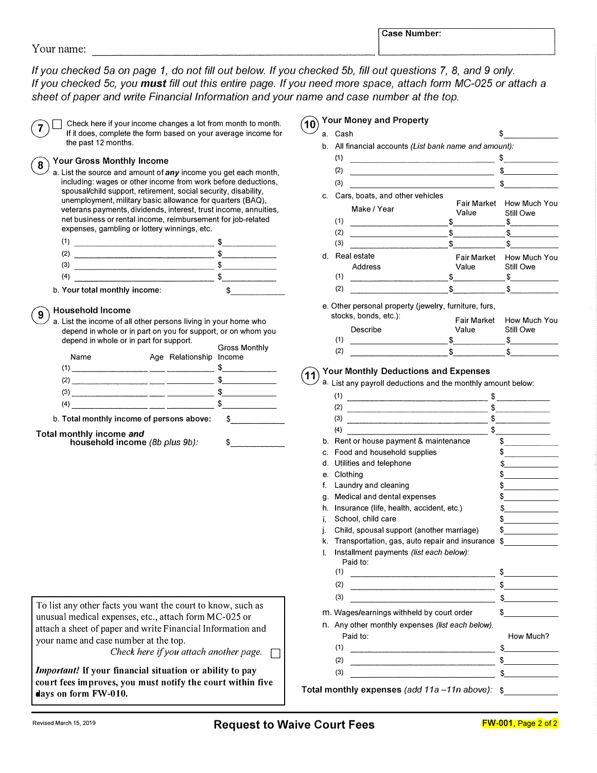If you checked 5a on page 1, do not fill out below. If you checked 5b, fill out questions 7, 8, and 9 only. If you checked 5c, you must fill out this entire page. If you need more space, attach form MC-025 or attach a sheet of paper and write Financial Information and your name and case number at the top.

|   | Your name:                                                                                                                                                                                                                                                                                                                                                                                                                                                                                |                         |                      |  |
|---|-------------------------------------------------------------------------------------------------------------------------------------------------------------------------------------------------------------------------------------------------------------------------------------------------------------------------------------------------------------------------------------------------------------------------------------------------------------------------------------------|-------------------------|----------------------|--|
|   | If you checked 5a on page 1, do not fill out below. If you che<br>If you checked 5c, you must fill out this entire page. If you r<br>sheet of paper and write Financial Information and your nan                                                                                                                                                                                                                                                                                          |                         |                      |  |
| 7 | Check here if your income changes a lot from month to month.<br>If it does, complete the form based on your average income for<br>the past 12 months.                                                                                                                                                                                                                                                                                                                                     |                         |                      |  |
| 8 | <b>Your Gross Monthly Income</b><br>a. List the source and amount of any income you get each month,<br>including: wages or other income from work before deductions,<br>spousal/child support, retirement, social security, disability,<br>unemployment, military basic allowance for quarters (BAQ),<br>veterans payments, dividends, interest, trust income, annuities,<br>net business or rental income, reimbursement for job-related<br>expenses, gambling or lottery winnings, etc. |                         |                      |  |
|   | $(1)$ $\frac{1}{2}$                                                                                                                                                                                                                                                                                                                                                                                                                                                                       |                         |                      |  |
|   |                                                                                                                                                                                                                                                                                                                                                                                                                                                                                           |                         |                      |  |
|   | $\sim$ \$                                                                                                                                                                                                                                                                                                                                                                                                                                                                                 |                         |                      |  |
|   |                                                                                                                                                                                                                                                                                                                                                                                                                                                                                           |                         |                      |  |
|   | b. Your total monthly income:                                                                                                                                                                                                                                                                                                                                                                                                                                                             |                         | $\sim$               |  |
| 9 | <b>Household Income</b>                                                                                                                                                                                                                                                                                                                                                                                                                                                                   |                         |                      |  |
|   | a. List the income of all other persons living in your home who<br>depend in whole or in part on you for support, or on whom you<br>depend in whole or in part for support.                                                                                                                                                                                                                                                                                                               |                         |                      |  |
|   | Name                                                                                                                                                                                                                                                                                                                                                                                                                                                                                      | Age Relationship Income | <b>Gross Monthly</b> |  |
|   |                                                                                                                                                                                                                                                                                                                                                                                                                                                                                           |                         |                      |  |
|   | $(2)$ $\overline{\phantom{a}}$ $\overline{\phantom{a}}$ $\overline{\phantom{a}}$ $\overline{\phantom{a}}$ $\overline{\phantom{a}}$ $\overline{\phantom{a}}$ $\overline{\phantom{a}}$ $\overline{\phantom{a}}$ $\overline{\phantom{a}}$ $\overline{\phantom{a}}$ $\overline{\phantom{a}}$ $\overline{\phantom{a}}$ $\overline{\phantom{a}}$ $\overline{\phantom{a}}$ $\overline{\phantom{a}}$ $\overline{\phantom{a}}$ $\overline{\phantom{a}}$ $\overline{\phantom{a}}$                   |                         |                      |  |
|   | $(3)$ $$$                                                                                                                                                                                                                                                                                                                                                                                                                                                                                 |                         |                      |  |
|   | $(4)$ $\overline{\hspace{2cm}}$ $\overline{\hspace{2cm}}$ $\overline{\hspace{2cm}}$ $\overline{\hspace{2cm}}$ $\overline{\hspace{2cm}}$ $\overline{\hspace{2cm}}$ $\overline{\hspace{2cm}}$ $\overline{\hspace{2cm}}$ $\overline{\hspace{2cm}}$ $\overline{\hspace{2cm}}$ $\overline{\hspace{2cm}}$ $\overline{\hspace{2cm}}$ $\overline{\hspace{2cm}}$ $\overline{\hspace{2cm}}$ $\overline{\hspace{2cm}}$ $\overline{\hspace{2cm}}$ $\overline{\hspace$                                 |                         |                      |  |
|   | $\mathbf{r}$ , and the contract of the contract of the contract of the contract of the contract of the contract of the contract of the contract of the contract of the contract of the contract of the contract of the contract o                                                                                                                                                                                                                                                         |                         |                      |  |

b. Total monthly income of persons above:

Total monthly income and

household income (8b plus 9b): \$

To list any other facts you want the court to know, such as unusual medical expenses, etc., attach form MC-025 or attach a sheet of paper and write Financial Information and your name and case number at the top.

Check here if you attach another page.  $\Box$ 

Important! If your financial situation or ability to pay court fees improves, you must notify the court within five days on form FW-010.

## (10) Your Money and Property

|    |             | <b>Case Number:</b>                                                                                                              |                      |                           |
|----|-------------|----------------------------------------------------------------------------------------------------------------------------------|----------------------|---------------------------|
|    |             | cked 5b, fill out questions 7, 8, and 9 only.<br>eed more space, attach form MC-025 or attach a<br>e and case number at the top. |                      |                           |
|    |             | <b>Your Money and Property</b>                                                                                                   |                      |                           |
| а. | Cash        |                                                                                                                                  |                      | \$                        |
|    |             | b. All financial accounts (List bank name and amount):                                                                           |                      |                           |
|    | (1)         |                                                                                                                                  |                      | $\frac{1}{2}$             |
|    | (2)         | <u> 1989 - Johann Stein, fransk politik (</u>                                                                                    |                      | $\frac{1}{2}$             |
|    | (3)         |                                                                                                                                  |                      |                           |
| C. |             | Cars, boats, and other vehicles                                                                                                  |                      |                           |
|    |             | Make / Year                                                                                                                      | Fair Market<br>Value | How Much You<br>Still Owe |
|    | (1)         | and the control of the control of the control of the control of the control of the control of the control of the                 | \$                   | \$                        |
|    | (2)         | the control of the control of the control of the                                                                                 | \$                   | $\frac{1}{2}$<br>\$.      |
|    | (3)         |                                                                                                                                  | \$                   |                           |
| d. | Real estate |                                                                                                                                  | Fair Market          | How Much You              |
|    | (1)         | Address                                                                                                                          | Value                | Still Owe                 |
|    | (2)         |                                                                                                                                  | \$<br>$\frac{1}{2}$  | $\frac{1}{2}$             |
|    |             |                                                                                                                                  |                      | s                         |
|    |             | e. Other personal property (jewelry, furniture, furs,                                                                            |                      |                           |
|    |             | stocks, bonds, etc.):                                                                                                            | Fair Market          | How Much You              |
|    |             | Describe                                                                                                                         | Value                | Still Owe                 |
|    | (1)         |                                                                                                                                  | \$                   | ፍ                         |

|     | iuuno, buriuo, <del>c</del> iu. <i>j</i> . | <b>Fair Market</b> | How Much You |
|-----|--------------------------------------------|--------------------|--------------|
|     | Describe                                   | Value              | Still Owe    |
| (1) |                                            |                    |              |
| (2) |                                            |                    |              |

#### $\mathcal{A}$  Your Monthly Deductions and Expenses

a. List any payroll deductions and the monthly amount below:

| (1)                                                                                                                                                                                                                                         | \$                       |
|---------------------------------------------------------------------------------------------------------------------------------------------------------------------------------------------------------------------------------------------|--------------------------|
| (2)                                                                                                                                                                                                                                         | $\frac{1}{2}$            |
| (3)                                                                                                                                                                                                                                         | $\frac{1}{2}$            |
| (4)<br>이 사이트 지역 사이트 시스템 프로그램을 제공하여 있습니다.<br>이 사이트 시스템 프로그램을 제공하여 있습니다.<br>- 이 사이트 시스템 프로그램을 제공하여 있습니다.                                                                                                                                      | \$                       |
| Rent or house payment & maintenance<br>b.                                                                                                                                                                                                   | $\frac{1}{2}$            |
| Food and household supplies<br>C.                                                                                                                                                                                                           | $\frac{1}{2}$            |
| Utilities and telephone<br>d.                                                                                                                                                                                                               |                          |
| Clothing<br>e.                                                                                                                                                                                                                              | $\frac{1}{\sqrt{2}}$     |
| f.<br>Laundry and cleaning                                                                                                                                                                                                                  | $\frac{1}{2}$            |
| Medical and dental expenses<br>g.                                                                                                                                                                                                           | $\frac{1}{2}$            |
| Insurance (life, health, accident, etc.)<br>h.                                                                                                                                                                                              | $\frac{1}{2}$            |
| i.<br>School, child care                                                                                                                                                                                                                    | $\frac{1}{2}$            |
| Child, spousal support (another marriage)<br>j.                                                                                                                                                                                             | $\frac{1}{2}$            |
| Transportation, gas, auto repair and insurance<br>k.                                                                                                                                                                                        | $\frac{1}{2}$            |
| I.<br>Installment payments (list each below):<br>Paid to:                                                                                                                                                                                   |                          |
| (1)                                                                                                                                                                                                                                         | $\frac{1}{2}$            |
| (2)                                                                                                                                                                                                                                         | $\frac{1}{2}$            |
| (3)                                                                                                                                                                                                                                         | $\frac{1}{2}$            |
| m. Wages/earnings withheld by court order                                                                                                                                                                                                   | \$                       |
| n. Any other monthly expenses (list each below).                                                                                                                                                                                            |                          |
| Paid to:                                                                                                                                                                                                                                    | How Much?                |
| (1)                                                                                                                                                                                                                                         | \$                       |
| (2)<br><u> 1980 - Johann Johann Johann Johann Johann Johann Johann Johann Johann Johann Johann Johann Johann Johann Johann Johann Johann Johann Johann Johann Johann Johann Johann Johann Johann Johann Johann Johann Johann Johann Joh</u> | $\frac{1}{2}$            |
|                                                                                                                                                                                                                                             | \$                       |
| (3)                                                                                                                                                                                                                                         | <b>Contract Contract</b> |
| Total monthly expenses (add 11a -11n above):                                                                                                                                                                                                | \$                       |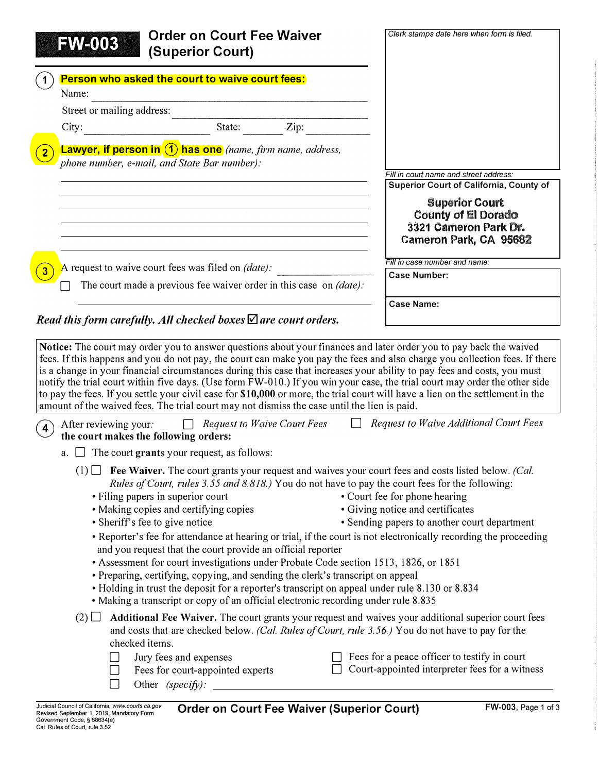| <b>Order on Court Fee Waiver</b><br><b>FW-003</b>                                                                                                                                                                                                                                                                                                                                                                                                                                                                                                                                                                                                                                                                                                                                                                                                                                                                                              | Clerk stamps date here when form is filed.                                                     |
|------------------------------------------------------------------------------------------------------------------------------------------------------------------------------------------------------------------------------------------------------------------------------------------------------------------------------------------------------------------------------------------------------------------------------------------------------------------------------------------------------------------------------------------------------------------------------------------------------------------------------------------------------------------------------------------------------------------------------------------------------------------------------------------------------------------------------------------------------------------------------------------------------------------------------------------------|------------------------------------------------------------------------------------------------|
| (Superior Court)                                                                                                                                                                                                                                                                                                                                                                                                                                                                                                                                                                                                                                                                                                                                                                                                                                                                                                                               |                                                                                                |
| Person who asked the court to waive court fees:<br>Name:                                                                                                                                                                                                                                                                                                                                                                                                                                                                                                                                                                                                                                                                                                                                                                                                                                                                                       |                                                                                                |
| Street or mailing address:                                                                                                                                                                                                                                                                                                                                                                                                                                                                                                                                                                                                                                                                                                                                                                                                                                                                                                                     |                                                                                                |
|                                                                                                                                                                                                                                                                                                                                                                                                                                                                                                                                                                                                                                                                                                                                                                                                                                                                                                                                                |                                                                                                |
| <b>Lawyer, if person in <math>(1)</math> has one</b> (name, firm name, address,<br>phone number, e-mail, and State Bar number):                                                                                                                                                                                                                                                                                                                                                                                                                                                                                                                                                                                                                                                                                                                                                                                                                |                                                                                                |
|                                                                                                                                                                                                                                                                                                                                                                                                                                                                                                                                                                                                                                                                                                                                                                                                                                                                                                                                                | Fill in court name and street address:<br>Superior Court of California, County of              |
|                                                                                                                                                                                                                                                                                                                                                                                                                                                                                                                                                                                                                                                                                                                                                                                                                                                                                                                                                | <b>Superior Court</b>                                                                          |
| <u> 1989 - Andrea Stadt Britain, amerikansk politik (d. 1989)</u>                                                                                                                                                                                                                                                                                                                                                                                                                                                                                                                                                                                                                                                                                                                                                                                                                                                                              | County of El Dorado<br>3321 Cameron Park Dr.                                                   |
|                                                                                                                                                                                                                                                                                                                                                                                                                                                                                                                                                                                                                                                                                                                                                                                                                                                                                                                                                | Cameron Park, CA 95682                                                                         |
|                                                                                                                                                                                                                                                                                                                                                                                                                                                                                                                                                                                                                                                                                                                                                                                                                                                                                                                                                |                                                                                                |
| A request to waive court fees was filed on <i>(date)</i> :                                                                                                                                                                                                                                                                                                                                                                                                                                                                                                                                                                                                                                                                                                                                                                                                                                                                                     | Fill in case number and name:<br><b>Case Number:</b>                                           |
| The court made a previous fee waiver order in this case on $(date)$ :                                                                                                                                                                                                                                                                                                                                                                                                                                                                                                                                                                                                                                                                                                                                                                                                                                                                          |                                                                                                |
|                                                                                                                                                                                                                                                                                                                                                                                                                                                                                                                                                                                                                                                                                                                                                                                                                                                                                                                                                | <b>Case Name:</b>                                                                              |
|                                                                                                                                                                                                                                                                                                                                                                                                                                                                                                                                                                                                                                                                                                                                                                                                                                                                                                                                                |                                                                                                |
| <b>Request to Waive Court Fees</b><br>After reviewing your.<br>the court makes the following orders:                                                                                                                                                                                                                                                                                                                                                                                                                                                                                                                                                                                                                                                                                                                                                                                                                                           |                                                                                                |
| $\Box$ The court grants your request, as follows:<br>a.                                                                                                                                                                                                                                                                                                                                                                                                                                                                                                                                                                                                                                                                                                                                                                                                                                                                                        |                                                                                                |
| $(1)$ <b>Fee Waiver.</b> The court grants your request and waives your court fees and costs listed below. <i>(Cal.</i> )<br>Rules of Court, rules 3.55 and 8.818.) You do not have to pay the court fees for the following:                                                                                                                                                                                                                                                                                                                                                                                                                                                                                                                                                                                                                                                                                                                    |                                                                                                |
| • Filing papers in superior court<br>• Making copies and certifying copies                                                                                                                                                                                                                                                                                                                                                                                                                                                                                                                                                                                                                                                                                                                                                                                                                                                                     | • Court fee for phone hearing<br>• Giving notice and certificates                              |
| • Sheriff's fee to give notice                                                                                                                                                                                                                                                                                                                                                                                                                                                                                                                                                                                                                                                                                                                                                                                                                                                                                                                 | • Sending papers to another court department                                                   |
| • Reporter's fee for attendance at hearing or trial, if the court is not electronically recording the proceeding<br>and you request that the court provide an official reporter                                                                                                                                                                                                                                                                                                                                                                                                                                                                                                                                                                                                                                                                                                                                                                |                                                                                                |
| • Assessment for court investigations under Probate Code section 1513, 1826, or 1851<br>• Preparing, certifying, copying, and sending the clerk's transcript on appeal                                                                                                                                                                                                                                                                                                                                                                                                                                                                                                                                                                                                                                                                                                                                                                         |                                                                                                |
| • Holding in trust the deposit for a reporter's transcript on appeal under rule 8.130 or 8.834                                                                                                                                                                                                                                                                                                                                                                                                                                                                                                                                                                                                                                                                                                                                                                                                                                                 |                                                                                                |
| • Making a transcript or copy of an official electronic recording under rule 8.835<br>Additional Fee Waiver. The court grants your request and waives your additional superior court fees<br>(2)                                                                                                                                                                                                                                                                                                                                                                                                                                                                                                                                                                                                                                                                                                                                               |                                                                                                |
| Read this form carefully. All checked boxes $\Delta$ are court orders.<br>Notice: The court may order you to answer questions about your finances and later order you to pay back the waived<br>fees. If this happens and you do not pay, the court can make you pay the fees and also charge you collection fees. If there<br>is a change in your financial circumstances during this case that increases your ability to pay fees and costs, you must<br>notify the trial court within five days. (Use form FW-010.) If you win your case, the trial court may order the other side<br>to pay the fees. If you settle your civil case for \$10,000 or more, the trial court will have a lien on the settlement in the<br>amount of the waived fees. The trial court may not dismiss the case until the lien is paid.<br>and costs that are checked below. (Cal. Rules of Court, rule 3.56.) You do not have to pay for the<br>checked items. | <b>Request to Waive Additional Court Fees</b>                                                  |
| Jury fees and expenses<br>Fees for court-appointed experts                                                                                                                                                                                                                                                                                                                                                                                                                                                                                                                                                                                                                                                                                                                                                                                                                                                                                     | Fees for a peace officer to testify in court<br>Court-appointed interpreter fees for a witness |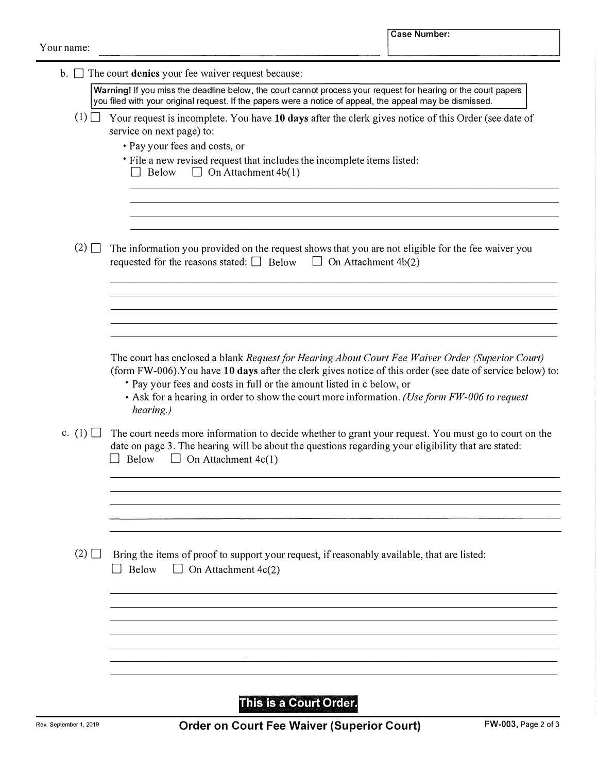| $\mathbf{b}$ . $\Box$ | The court denies your fee waiver request because:                                                                                                                                                                                                                                                                                                                                                    |
|-----------------------|------------------------------------------------------------------------------------------------------------------------------------------------------------------------------------------------------------------------------------------------------------------------------------------------------------------------------------------------------------------------------------------------------|
|                       | Warning! If you miss the deadline below, the court cannot process your request for hearing or the court papers<br>you filed with your original request. If the papers were a notice of appeal, the appeal may be dismissed.                                                                                                                                                                          |
| (1)                   | Your request is incomplete. You have 10 days after the clerk gives notice of this Order (see date of<br>service on next page) to:                                                                                                                                                                                                                                                                    |
|                       | • Pay your fees and costs, or                                                                                                                                                                                                                                                                                                                                                                        |
|                       | * File a new revised request that includes the incomplete items listed:<br>$\Box$ On Attachment 4b(1)<br>Below                                                                                                                                                                                                                                                                                       |
|                       |                                                                                                                                                                                                                                                                                                                                                                                                      |
| $(2)$ $\Box$          | The information you provided on the request shows that you are not eligible for the fee waiver you<br>requested for the reasons stated: $\Box$ Below<br>$\Box$ On Attachment 4b(2)                                                                                                                                                                                                                   |
|                       |                                                                                                                                                                                                                                                                                                                                                                                                      |
|                       |                                                                                                                                                                                                                                                                                                                                                                                                      |
|                       |                                                                                                                                                                                                                                                                                                                                                                                                      |
|                       | The court has enclosed a blank Request for Hearing About Court Fee Waiver Order (Superior Court)<br>(form FW-006). You have 10 days after the clerk gives notice of this order (see date of service below) to:<br>• Pay your fees and costs in full or the amount listed in c below, or<br>• Ask for a hearing in order to show the court more information. (Use form FW-006 to request<br>hearing.) |
| c. $(1)$              | The court needs more information to decide whether to grant your request. You must go to court on the<br>date on page 3. The hearing will be about the questions regarding your eligibility that are stated:<br>Below<br>$\Box$ On Attachment 4c(1)                                                                                                                                                  |
|                       |                                                                                                                                                                                                                                                                                                                                                                                                      |
|                       |                                                                                                                                                                                                                                                                                                                                                                                                      |
|                       |                                                                                                                                                                                                                                                                                                                                                                                                      |
| $(2)$ $\Box$          | Bring the items of proof to support your request, if reasonably available, that are listed:<br>On Attachment 4c(2)<br>Below<br>$\Box$                                                                                                                                                                                                                                                                |
|                       |                                                                                                                                                                                                                                                                                                                                                                                                      |
|                       |                                                                                                                                                                                                                                                                                                                                                                                                      |
|                       |                                                                                                                                                                                                                                                                                                                                                                                                      |
|                       |                                                                                                                                                                                                                                                                                                                                                                                                      |
|                       |                                                                                                                                                                                                                                                                                                                                                                                                      |

This is a Court Order.